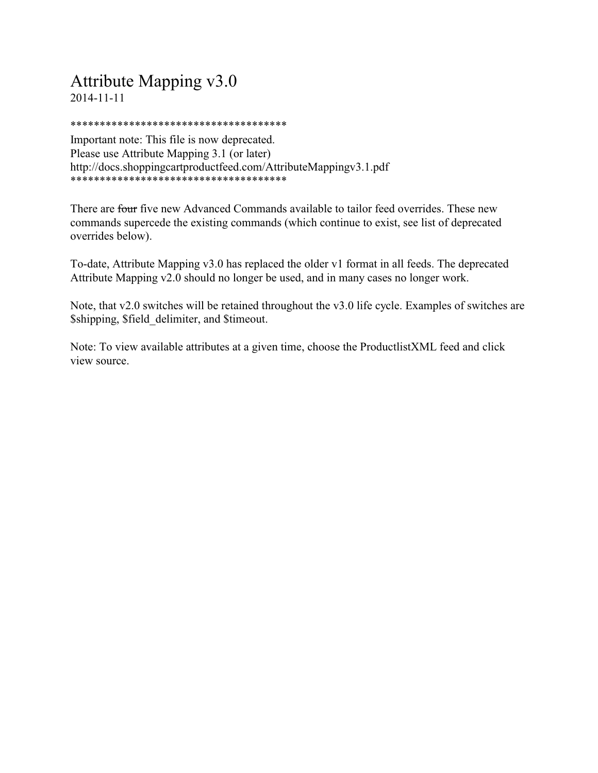## Attribute Mapping v3.0 2014-11-11

\*\*\*\*\*\*\*\*\*\*\*\*\*\*\*\*\*\*\*\*\*\*\*\*\*\*\*\*\*\*\*\*\*\*\*\*\*

Important note: This file is now deprecated. Please use Attribute Mapping 3.1 (or later) http://docs.shoppingcartproductfeed.com/AttributeMappingv3.1.pdf \*\*\*\*\*\*\*\*\*\*\*\*\*\*\*\*\*\*\*\*\*\*\*\*\*\*\*\*\*\*\*\*\*\*\*\*\*

There are four five new Advanced Commands available to tailor feed overrides. These new commands supercede the existing commands (which continue to exist, see list of deprecated overrides below).

To-date, Attribute Mapping v3.0 has replaced the older v1 format in all feeds. The deprecated Attribute Mapping v2.0 should no longer be used, and in many cases no longer work.

Note, that v2.0 switches will be retained throughout the v3.0 life cycle. Examples of switches are \$shipping, \$field\_delimiter, and \$timeout.

Note: To view available attributes at a given time, choose the ProductlistXML feed and click view source.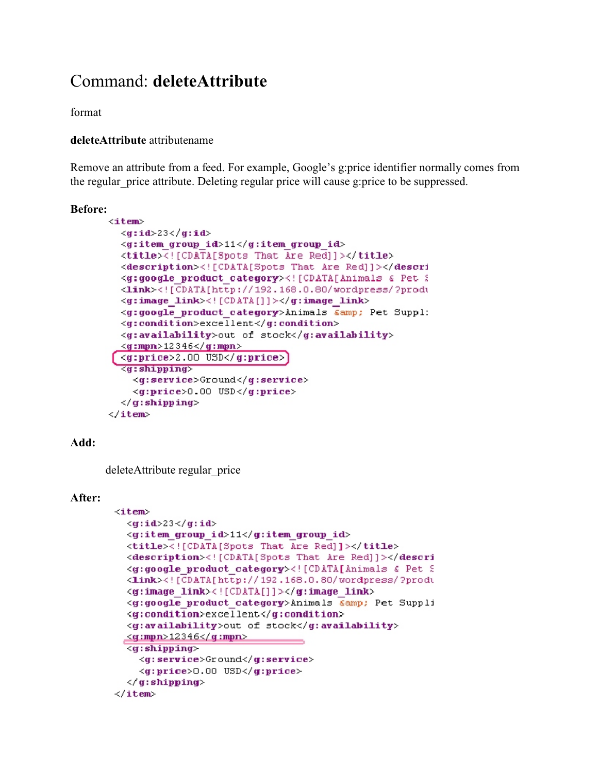## Command: **deleteAttribute**

format

#### **deleteAttribute** attributename

Remove an attribute from a feed. For example, Google's g:price identifier normally comes from the regular price attribute. Deleting regular price will cause g:price to be suppressed.

#### **Before:**

```
\leqitem>
  \langle q: id \rangle 23 \langle q: id \rangle\leqg:item group id>11</g:item group id>
  <title><! [CDATA[Spots That Are Red]]></title>
  <description><![CDATA[Spots That Are Red]]></descri
  <g:google product category><! [CDATA[Animals & Pet ?
  <Link><! [CDATA[http://192.168.0.80/wordpress/?produ
  <g:image link><! [CDATA[]]></g:image link>
  <g:google product category>Animals &amp; Pet Suppl:
  <g:condition>excellent</g:condition>
  <g:availability>out of stock</g:availability>
  \leqg:mpn>12346\leq/g:mpn>
  \langle q:price \rangle 2.00 USD\langle q:price \rangle<g:shipping>
    <g:service>Ground</g:service>
    <g:price>0.00 USD</g:price>
  \langle/g:shipping>
\langle/item>
```
#### **Add:**

deleteAttribute regular price

#### **After:**

```
<item>
  \langle q: id \rangle 23 \langle q: id \rangle<g:item group id>11</g:item group id>
  <title><![CDATA[Spots That Are Red]]></title>
  <description><! [CDATA[Spots That Are Red]]></descri
  <g:google product category><![CDATA[Animals & Pet ?
  <Link><! [CDATA[http://192.168.0.80/wordpress/?produ
  <g:image link><![CDATA[]]></g:image link>
  <g:google product category>Animals &amp; Pet Suppli
  <g:condition>excellent</g:condition>
  <g:availability>out of stock</g:availability>
 <g:mpn>12346</g:mpn>
  <g:shipping>
    <g:service>Ground</g:service>
    <g:price>0.00 USD</g:price>
  \langle/g:shipping>
</item>
```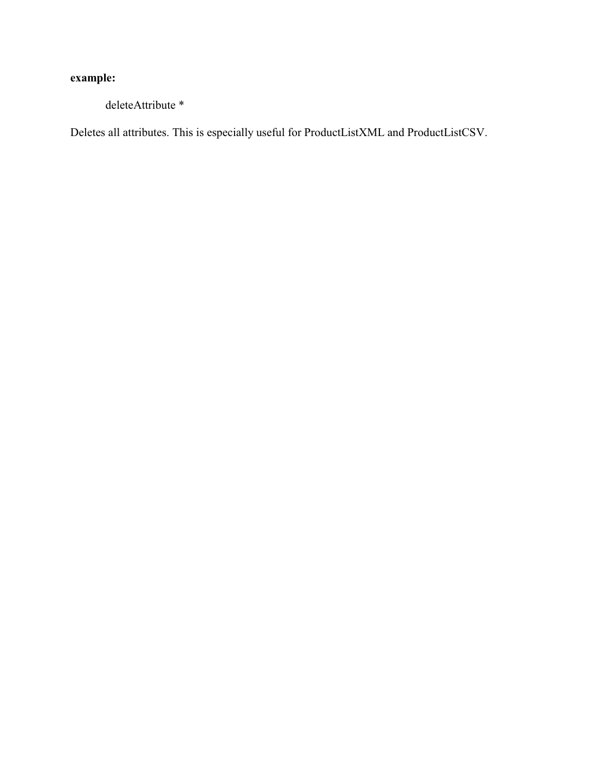## **example:**

deleteAttribute \*

Deletes all attributes. This is especially useful for ProductListXML and ProductListCSV.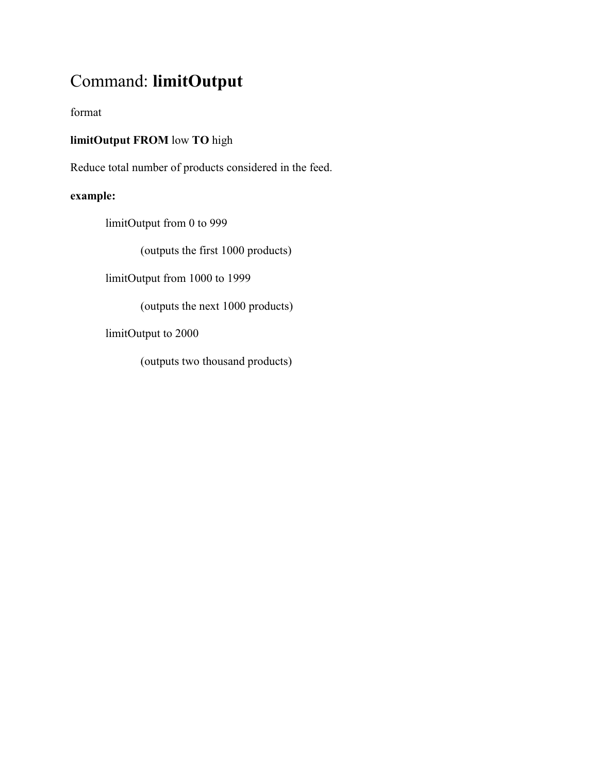## Command: **limitOutput**

format

### **limitOutput FROM** low **TO** high

Reduce total number of products considered in the feed.

## **example:**

limitOutput from 0 to 999

(outputs the first 1000 products)

limitOutput from 1000 to 1999

(outputs the next 1000 products)

limitOutput to 2000

(outputs two thousand products)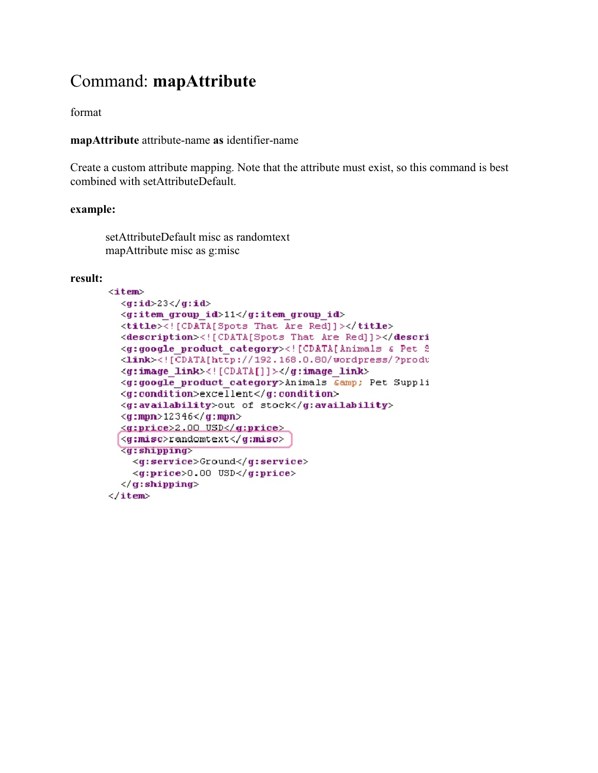## Command: **mapAttribute**

format

**mapAttribute** attribute-name **as** identifier-name

Create a custom attribute mapping. Note that the attribute must exist, so this command is best combined with setAttributeDefault.

#### **example:**

setAttributeDefault misc as randomtext mapAttribute misc as g:misc

#### **result:**

```
\langleitem>
  \langle q: id \rangle 23 \langle q: id \rangle<g:item group id>11</g:item group id>
  <title><! [CDATA[Spots That Are Red]]></title>
  <description><![CDATA[Spots That Are Red]]></descri
  <g:google product category><! [CDATA[Animals & Pet 2
  <Link><![CDATA[http://192.168.0.80/wordpress/?produ
  <g:image link><! [CDATA[]]></g:image link>
  <g:google product category>Animals Camp; Pet Suppli
  <g:condition>excellent</g:condition>
  <g:availability>out of stock</g:availability>
  \langle q:mpn\rangle 12346\langle q:mpn\rangle<g:price>2.00 USD</g:price>
  <g:misc>randomtext</g:misc>
  <g:shipping>
    <g:service>Ground</g:service>
    <g:price>0.00 USD</g:price>
  \langle/g:shipping>
\langle/item>
```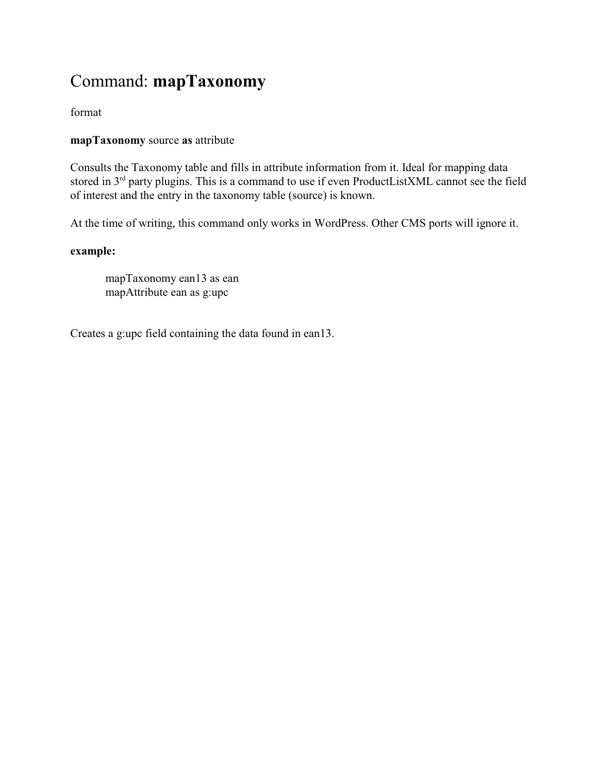# Command: **mapTaxonomy**

### format

### **mapTaxonomy** source **as** attribute

Consults the Taxonomy table and fills in attribute information from it. Ideal for mapping data stored in  $3<sup>rd</sup>$  party plugins. This is a command to use if even ProductListXML cannot see the field of interest and the entry in the taxonomy table (source) is known.

At the time of writing, this command only works in WordPress. Other CMS ports will ignore it.

### **example:**

mapTaxonomy ean13 as ean mapAttribute ean as g:upc

Creates a g:upc field containing the data found in ean13.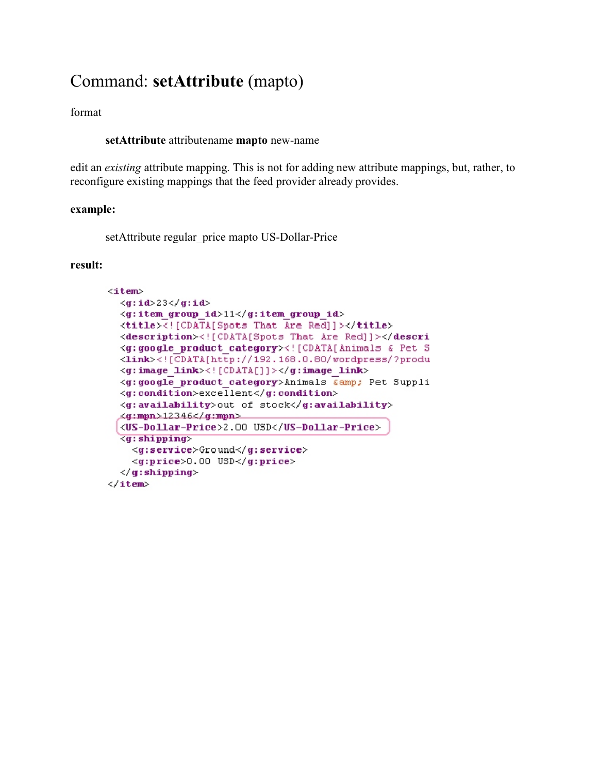## Command: **setAttribute** (mapto)

format

**setAttribute** attributename **mapto** new-name

edit an *existing* attribute mapping. This is not for adding new attribute mappings, but, rather, to reconfigure existing mappings that the feed provider already provides.

#### **example:**

setAttribute regular price mapto US-Dollar-Price

#### **result:**

```
<item>
  \langle q: id \rangle 23 \langle q: id \rangle<g:item group id>11</g:item group id>
  <title><![CDATA[Spots That Are Red]]></title>
  <description><![CDATA[Spots That Are Red]]></descri
  <g:google product category><![CDATA[Animals & Pet S
  <link><![CDATA[http://192.168.0.80/wordpress/?produ
  <g:image link><! [CDATA[]]></g:image link>
  <g:google product category>Animals Camp; Pet Suppli
  <g:condition>excellent</g:condition>
  <g:availability>out of stock</g:availability>
  <g:mpn>12346</g:mpn>
  <US-Dollar-Price>2.00 USD</US-Dollar-Price>
  <g:shipping>
    <g:service>Ground</g:service>
    <g:price>0.00 USD</g:price>
  \langle/g:shipping>
</item>
```